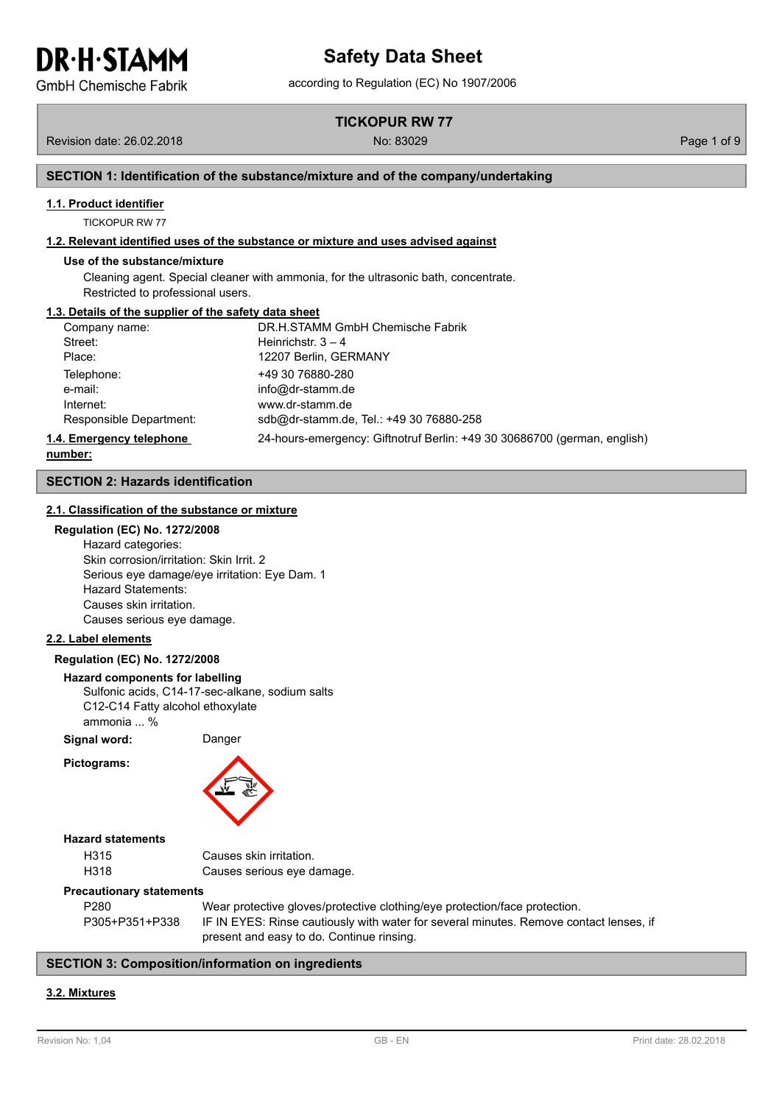**GmbH Chemische Fabrik** 

**TICKOPUR RW 77**

Revision date: 26.02.2018 No: 83029 Page 1 of 9

### **SECTION 1: Identification of the substance/mixture and of the company/undertaking**

#### **1.1. Product identifier**

TICKOPUR RW 77

#### **1.2. Relevant identified uses of the substance or mixture and uses advised against**

#### **Use of the substance/mixture**

Cleaning agent. Special cleaner with ammonia, for the ultrasonic bath, concentrate. Restricted to professional users.

#### **1.3. Details of the supplier of the safety data sheet**

| Company name:            | DR.H.STAMM GmbH Chemische Fabrik                                         |
|--------------------------|--------------------------------------------------------------------------|
| Street:                  | Heinrichstr. $3 - 4$                                                     |
| Place:                   | 12207 Berlin, GERMANY                                                    |
| Telephone:               | +49 30 76880-280                                                         |
| e-mail:                  | info@dr-stamm.de                                                         |
| Internet:                | www.dr-stamm.de                                                          |
| Responsible Department:  | sdb@dr-stamm.de, Tel.: +49 30 76880-258                                  |
| 1.4. Emergency telephone | 24-hours-emergency: Giftnotruf Berlin: +49 30 30686700 (german, english) |

**number:**

#### **SECTION 2: Hazards identification**

#### **2.1. Classification of the substance or mixture**

#### **Regulation (EC) No. 1272/2008**

Hazard categories: Skin corrosion/irritation: Skin Irrit. 2 Serious eye damage/eye irritation: Eye Dam. 1 Hazard Statements: Causes skin irritation. Causes serious eye damage.

#### **2.2. Label elements**

#### **Regulation (EC) No. 1272/2008**

#### **Hazard components for labelling**

Sulfonic acids, C14-17-sec-alkane, sodium salts C12-C14 Fatty alcohol ethoxylate ammonia ... %

**Signal word:** Danger

**Pictograms:**



#### **Hazard statements**

| H315 | Causes skin irritation.    |
|------|----------------------------|
| H318 | Causes serious eye damage. |

#### **Precautionary statements**

| P280           | Wear protective gloves/protective clothing/eye protection/face protection.             |
|----------------|----------------------------------------------------------------------------------------|
| P305+P351+P338 | IF IN EYES: Rinse cautiously with water for several minutes. Remove contact lenses, if |
|                | present and easy to do. Continue rinsing.                                              |

#### **SECTION 3: Composition/information on ingredients**

#### **3.2. Mixtures**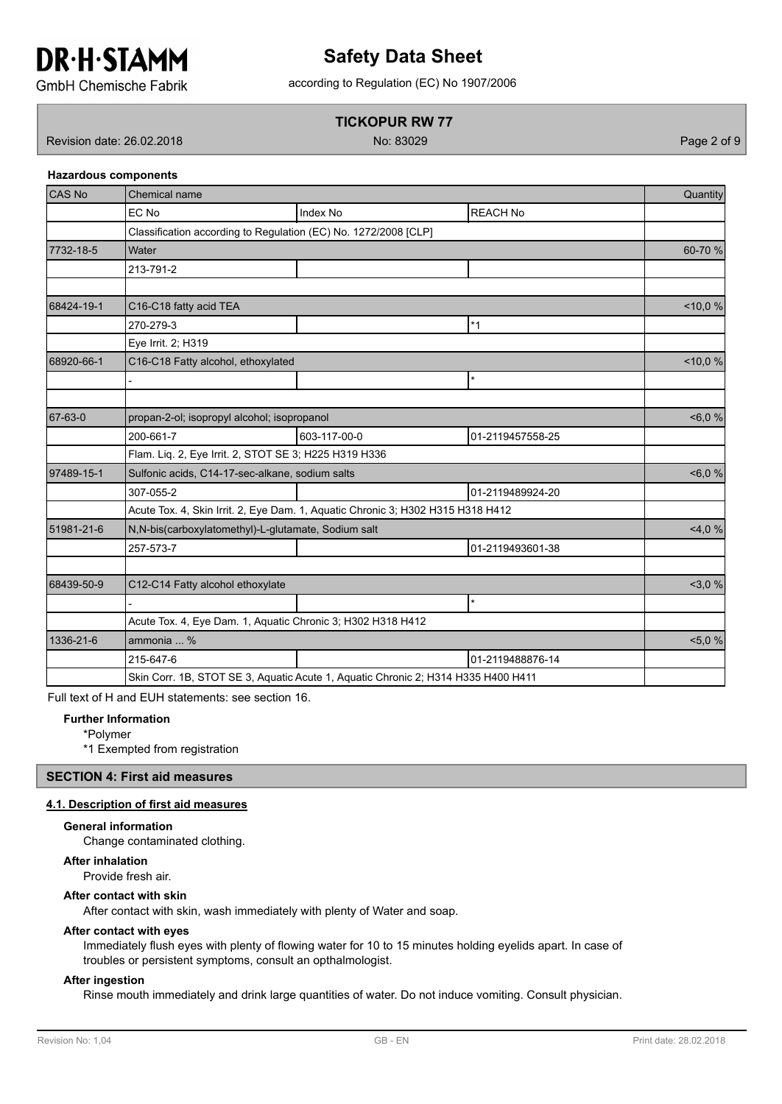

# according to Regulation (EC) No 1907/2006 **Safety Data Sheet**

**GmbH Chemische Fabrik** 

## **TICKOPUR RW 77**

Revision date: 26.02.2018 No: 83029 Page 2 of 9

**Hazardous components**

| CAS No     | Chemical name                                                                     |                 |                  |         |  |
|------------|-----------------------------------------------------------------------------------|-----------------|------------------|---------|--|
|            | EC No                                                                             | <b>Index No</b> | <b>REACH No</b>  |         |  |
|            | Classification according to Regulation (EC) No. 1272/2008 [CLP]                   |                 |                  |         |  |
| 7732-18-5  | Water                                                                             |                 |                  | 60-70 % |  |
|            | 213-791-2                                                                         |                 |                  |         |  |
|            |                                                                                   |                 |                  |         |  |
| 68424-19-1 | C16-C18 fatty acid TEA                                                            |                 |                  | < 10,0% |  |
|            | 270-279-3                                                                         |                 | $*1$             |         |  |
|            | Eye Irrit. 2; H319                                                                |                 |                  |         |  |
| 68920-66-1 | C16-C18 Fatty alcohol, ethoxylated                                                |                 |                  | < 10,0% |  |
|            |                                                                                   |                 | $\star$          |         |  |
|            |                                                                                   |                 |                  |         |  |
| 67-63-0    | propan-2-ol; isopropyl alcohol; isopropanol                                       |                 |                  | &5,0%   |  |
|            | 200-661-7                                                                         | 603-117-00-0    | 01-2119457558-25 |         |  |
|            | Flam. Liq. 2, Eye Irrit. 2, STOT SE 3; H225 H319 H336                             |                 |                  |         |  |
| 97489-15-1 | Sulfonic acids, C14-17-sec-alkane, sodium salts                                   | &5,0%           |                  |         |  |
|            | 307-055-2                                                                         |                 | 01-2119489924-20 |         |  |
|            | Acute Tox. 4, Skin Irrit. 2, Eye Dam. 1, Aquatic Chronic 3; H302 H315 H318 H412   |                 |                  |         |  |
| 51981-21-6 | N, N-bis(carboxylatomethyl)-L-glutamate, Sodium salt                              |                 |                  | 4,0%    |  |
|            | 257-573-7                                                                         |                 | 01-2119493601-38 |         |  |
|            |                                                                                   |                 |                  |         |  |
| 68439-50-9 | C12-C14 Fatty alcohol ethoxylate                                                  |                 |                  | 3,0%    |  |
|            |                                                                                   |                 | $\star$          |         |  |
|            | Acute Tox. 4, Eye Dam. 1, Aquatic Chronic 3; H302 H318 H412                       |                 |                  |         |  |
| 1336-21-6  | ammonia  %                                                                        | 5,0%            |                  |         |  |
|            | 215-647-6                                                                         |                 | 01-2119488876-14 |         |  |
|            | Skin Corr. 1B, STOT SE 3, Aquatic Acute 1, Aquatic Chronic 2; H314 H335 H400 H411 |                 |                  |         |  |

Full text of H and EUH statements: see section 16.

#### **Further Information**

\*Polymer

\*1 Exempted from registration

**SECTION 4: First aid measures**

### **4.1. Description of first aid measures**

#### **General information**

Change contaminated clothing.

#### **After inhalation**

Provide fresh air.

#### **After contact with skin**

After contact with skin, wash immediately with plenty of Water and soap.

#### **After contact with eyes**

Immediately flush eyes with plenty of flowing water for 10 to 15 minutes holding eyelids apart. In case of troubles or persistent symptoms, consult an opthalmologist.

#### **After ingestion**

Rinse mouth immediately and drink large quantities of water. Do not induce vomiting. Consult physician.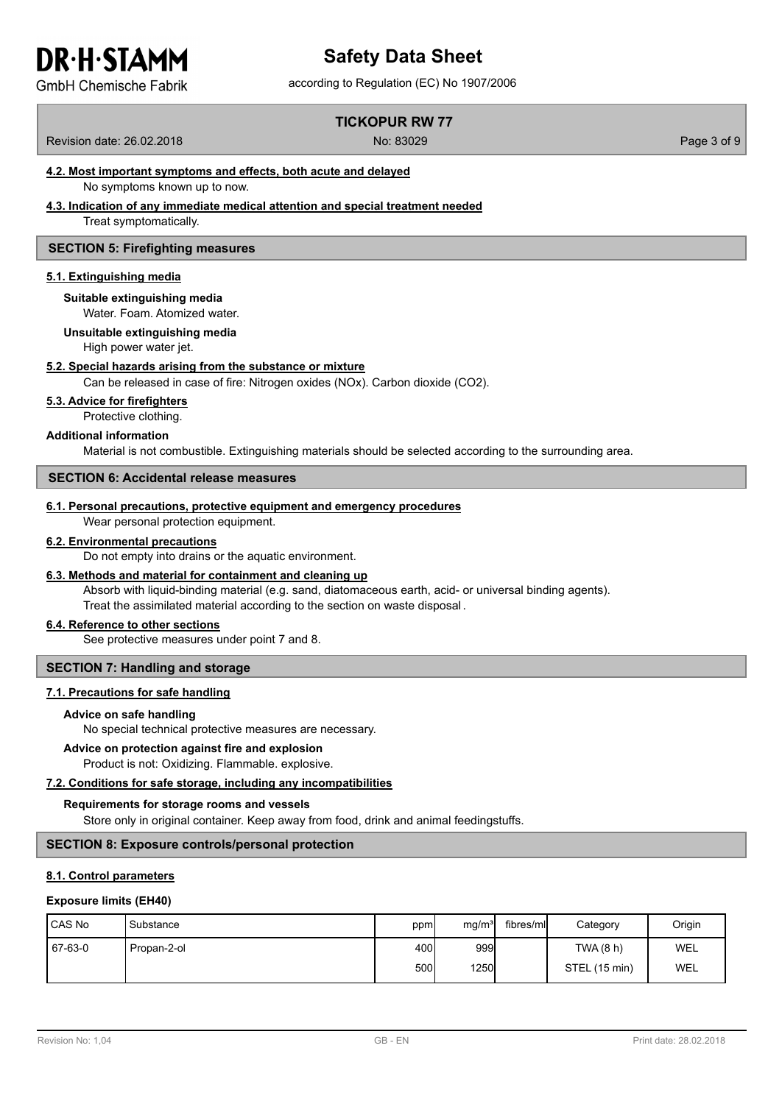# according to Regulation (EC) No 1907/2006 **Safety Data Sheet**

**GmbH Chemische Fabrik** 

# **TICKOPUR RW 77**

Revision date: 26.02.2018 No: 83029 Page 3 of 9

## **4.2. Most important symptoms and effects, both acute and delayed**

No symptoms known up to now.

#### **4.3. Indication of any immediate medical attention and special treatment needed**

Treat symptomatically.

#### **SECTION 5: Firefighting measures**

#### **5.1. Extinguishing media**

**Suitable extinguishing media**

Water. Foam. Atomized water.

## **Unsuitable extinguishing media**

High power water jet.

#### **5.2. Special hazards arising from the substance or mixture**

Can be released in case of fire: Nitrogen oxides (NOx). Carbon dioxide (CO2).

#### **5.3. Advice for firefighters**

Protective clothing.

#### **Additional information**

Material is not combustible. Extinguishing materials should be selected according to the surrounding area.

#### **SECTION 6: Accidental release measures**

#### **6.1. Personal precautions, protective equipment and emergency procedures**

Wear personal protection equipment.

#### **6.2. Environmental precautions**

Do not empty into drains or the aquatic environment.

#### **6.3. Methods and material for containment and cleaning up**

Absorb with liquid-binding material (e.g. sand, diatomaceous earth, acid- or universal binding agents). Treat the assimilated material according to the section on waste disposal .

#### **6.4. Reference to other sections**

See protective measures under point 7 and 8.

#### **SECTION 7: Handling and storage**

#### **7.1. Precautions for safe handling**

#### **Advice on safe handling**

No special technical protective measures are necessary.

#### **Advice on protection against fire and explosion**

Product is not: Oxidizing. Flammable. explosive.

## **7.2. Conditions for safe storage, including any incompatibilities**

#### **Requirements for storage rooms and vessels**

Store only in original container. Keep away from food, drink and animal feedingstuffs.

## **SECTION 8: Exposure controls/personal protection**

## **8.1. Control parameters**

#### **Exposure limits (EH40)**

| CAS No  | <b>I</b> Substance | ppm          | mg/m <sup>3</sup> | fibres/mll | Category      | Origin |
|---------|--------------------|--------------|-------------------|------------|---------------|--------|
| 67-63-0 | Propan-2-ol        | 400 <b>I</b> | 999               |            | TWA (8 h)     | WEL    |
|         |                    | 500l         | <b>1250</b>       |            | STEL (15 min) | WEL    |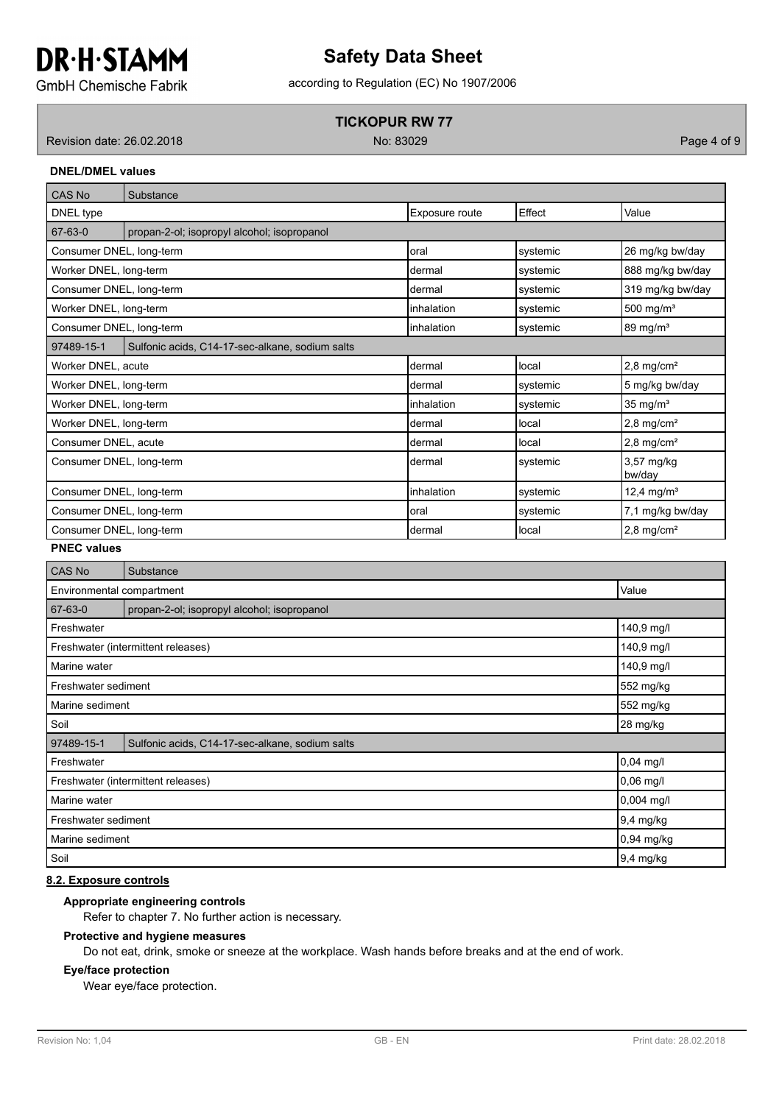# according to Regulation (EC) No 1907/2006 **Safety Data Sheet**

**GmbH Chemische Fabrik** 

## **TICKOPUR RW 77**

Revision date: 26.02.2018 **Page 4 of 9** No: 83029 **No: 83029** Page 4 of 9

**DNEL/DMEL values**

| CAS No                   | Substance                                       |                |          |                          |
|--------------------------|-------------------------------------------------|----------------|----------|--------------------------|
| DNEL type                |                                                 | Exposure route | Effect   | Value                    |
| 67-63-0                  | propan-2-ol; isopropyl alcohol; isopropanol     |                |          |                          |
| Consumer DNEL, long-term |                                                 | loral          | systemic | 26 mg/kg bw/day          |
| Worker DNEL, long-term   |                                                 | dermal         | systemic | 888 mg/kg bw/day         |
| Consumer DNEL, long-term |                                                 | dermal         | systemic | 319 mg/kg bw/day         |
| Worker DNEL, long-term   |                                                 | inhalation     | systemic | 500 mg/ $m3$             |
| Consumer DNEL, long-term |                                                 | inhalation     | systemic | 89 mg/m <sup>3</sup>     |
| 97489-15-1               | Sulfonic acids, C14-17-sec-alkane, sodium salts |                |          |                          |
| Worker DNEL, acute       |                                                 | dermal         | local    | $2,8$ mg/cm <sup>2</sup> |
| Worker DNEL, long-term   |                                                 | dermal         | systemic | 5 mg/kg bw/day           |
| Worker DNEL, long-term   |                                                 | inhalation     | systemic | $35$ mg/m <sup>3</sup>   |
| Worker DNEL, long-term   |                                                 | dermal         | local    | $2,8$ mg/cm <sup>2</sup> |
| Consumer DNEL, acute     |                                                 | dermal         | local    | $2,8$ mg/cm <sup>2</sup> |
| Consumer DNEL, long-term |                                                 | dermal         | systemic | 3,57 mg/kg<br>bw/day     |
| Consumer DNEL, long-term |                                                 | inhalation     | systemic | 12,4 mg/m <sup>3</sup>   |
| Consumer DNEL, long-term |                                                 | loral          | systemic | 7,1 mg/kg bw/day         |
| Consumer DNEL, long-term |                                                 | ldermal        | llocal   | $2,8$ mg/cm <sup>2</sup> |

#### **PNEC values**

| CAS No                           | Substance                                       |             |
|----------------------------------|-------------------------------------------------|-------------|
| Environmental compartment        | Value                                           |             |
| 67-63-0                          | propan-2-ol; isopropyl alcohol; isopropanol     |             |
| Freshwater                       |                                                 | 140,9 mg/l  |
|                                  | Freshwater (intermittent releases)              | 140,9 mg/l  |
| Marine water                     |                                                 | 140,9 mg/l  |
| Freshwater sediment              | 552 mg/kg                                       |             |
| 552 mg/kg<br>Marine sediment     |                                                 |             |
| Soil<br>28 mg/kg                 |                                                 |             |
| 97489-15-1                       | Sulfonic acids, C14-17-sec-alkane, sodium salts |             |
| Freshwater                       |                                                 | $0,04$ mg/l |
|                                  | Freshwater (intermittent releases)              | $0,06$ mg/l |
| Marine water                     |                                                 | 0,004 mg/l  |
| 9,4 mg/kg<br>Freshwater sediment |                                                 |             |
| Marine sediment                  |                                                 | 0,94 mg/kg  |
| Soil                             |                                                 | 9,4 mg/kg   |

### **8.2. Exposure controls**

### **Appropriate engineering controls**

Refer to chapter 7. No further action is necessary.

#### **Protective and hygiene measures**

Do not eat, drink, smoke or sneeze at the workplace. Wash hands before breaks and at the end of work.

#### **Eye/face protection**

Wear eye/face protection.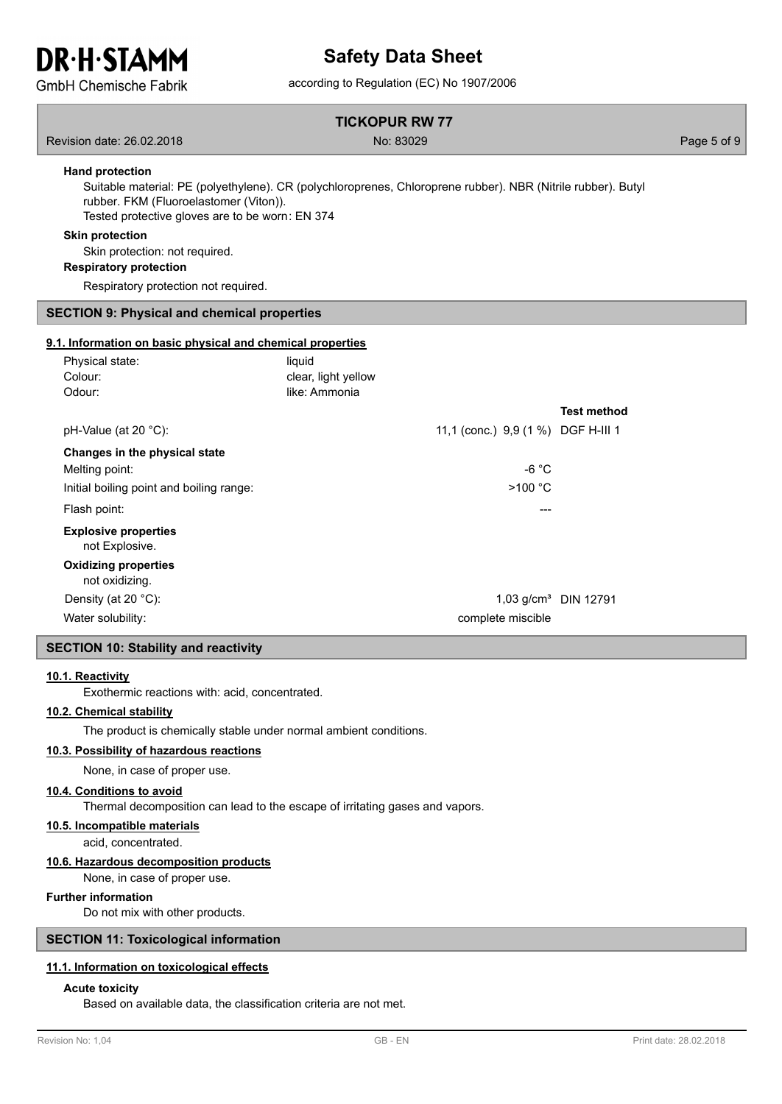# **Safety Data Sheet**

**GmbH Chemische Fabrik** 

# according to Regulation (EC) No 1907/2006

#### **TICKOPUR RW 77**

Revision date: 26.02.2018 **Page 5 of 9** No: 83029 **Page 5 of 9** No: 83029

#### **Hand protection**

Suitable material: PE (polyethylene). CR (polychloroprenes, Chloroprene rubber). NBR (Nitrile rubber). Butyl rubber. FKM (Fluoroelastomer (Viton)). Tested protective gloves are to be worn: EN 374

#### **Skin protection**

Skin protection: not required.

**Respiratory protection**

Respiratory protection not required.

#### **SECTION 9: Physical and chemical properties**

#### **9.1. Information on basic physical and chemical properties**

| Physical state:<br>Colour:                    | liquid<br>clear, light yellow |                                    |                         |
|-----------------------------------------------|-------------------------------|------------------------------------|-------------------------|
| Odour:                                        | like: Ammonia                 |                                    |                         |
|                                               |                               |                                    | <b>Test method</b>      |
| pH-Value (at 20 $^{\circ}$ C):                |                               | 11,1 (conc.) 9,9 (1 %) DGF H-III 1 |                         |
| Changes in the physical state                 |                               |                                    |                         |
| Melting point:                                |                               | -6 °C                              |                         |
| Initial boiling point and boiling range:      |                               | >100 °C                            |                         |
| Flash point:                                  |                               |                                    |                         |
| <b>Explosive properties</b><br>not Explosive. |                               |                                    |                         |
| <b>Oxidizing properties</b><br>not oxidizing. |                               |                                    |                         |
| Density (at 20 $^{\circ}$ C):                 |                               |                                    | 1,03 $q/cm^3$ DIN 12791 |
| Water solubility:                             |                               | complete miscible                  |                         |

#### **SECTION 10: Stability and reactivity**

#### **10.1. Reactivity**

Exothermic reactions with: acid, concentrated.

#### **10.2. Chemical stability**

The product is chemically stable under normal ambient conditions.

#### **10.3. Possibility of hazardous reactions**

None, in case of proper use.

#### **10.4. Conditions to avoid**

Thermal decomposition can lead to the escape of irritating gases and vapors.

#### **10.5. Incompatible materials**

acid, concentrated.

#### **10.6. Hazardous decomposition products**

None, in case of proper use.

#### **Further information**

Do not mix with other products.

#### **SECTION 11: Toxicological information**

#### **11.1. Information on toxicological effects**

#### **Acute toxicity**

Based on available data, the classification criteria are not met.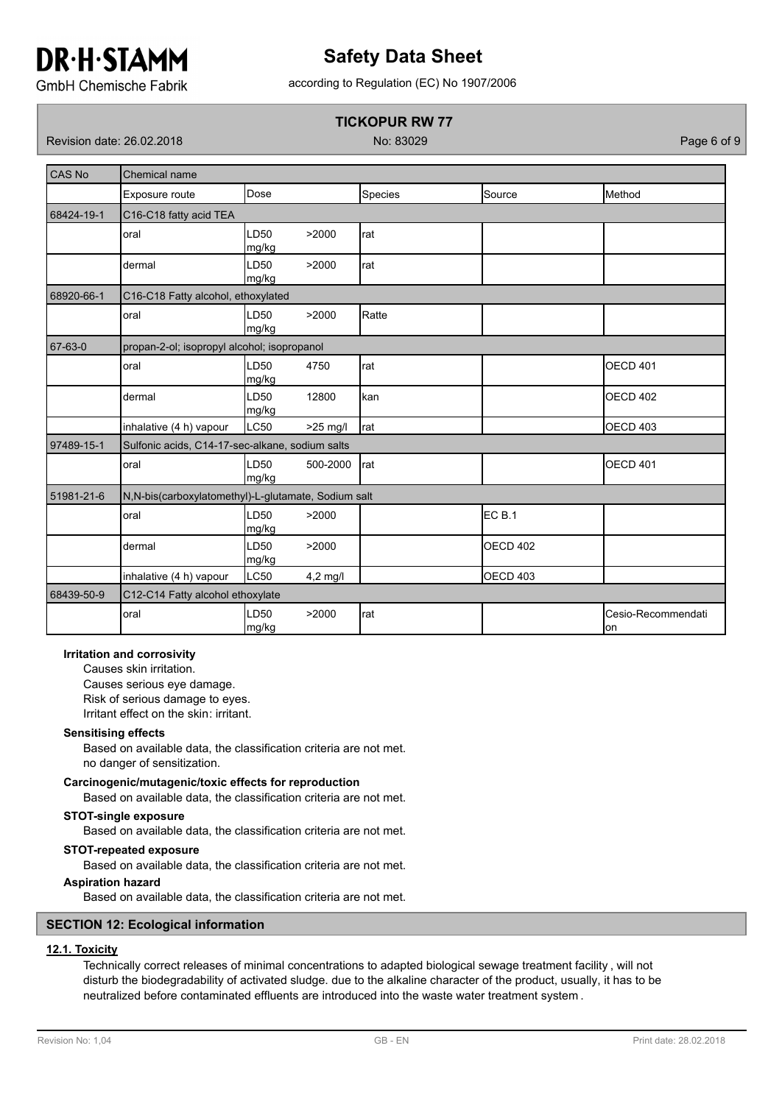# **Safety Data Sheet**

according to Regulation (EC) No 1907/2006

**GmbH Chemische Fabrik** 

## **TICKOPUR RW 77**

Revision date: 26.02.2018 No: 83029 Page 6 of 9

| <b>CAS No</b> | Chemical name                                       |                           |            |                |                   |                           |  |  |
|---------------|-----------------------------------------------------|---------------------------|------------|----------------|-------------------|---------------------------|--|--|
|               | Exposure route                                      | Dose                      |            | <b>Species</b> | Source            | Method                    |  |  |
| 68424-19-1    | C16-C18 fatty acid TEA                              |                           |            |                |                   |                           |  |  |
|               | oral                                                | LD <sub>50</sub><br>mg/kg | >2000      | rat            |                   |                           |  |  |
|               | dermal                                              | LD50<br>mg/kg             | >2000      | rat            |                   |                           |  |  |
| 68920-66-1    | C16-C18 Fatty alcohol, ethoxylated                  |                           |            |                |                   |                           |  |  |
|               | oral                                                | LD <sub>50</sub><br>mg/kg | >2000      | Ratte          |                   |                           |  |  |
| 67-63-0       | propan-2-ol; isopropyl alcohol; isopropanol         |                           |            |                |                   |                           |  |  |
|               | oral                                                | LD <sub>50</sub><br>mg/kg | 4750       | rat            |                   | <b>OECD 401</b>           |  |  |
|               | dermal                                              | LD <sub>50</sub><br>mg/kg | 12800      | kan            |                   | <b>OECD 402</b>           |  |  |
|               | inhalative (4 h) vapour                             | LC50                      | >25 mg/l   | rat            |                   | <b>OECD 403</b>           |  |  |
| 97489-15-1    | Sulfonic acids, C14-17-sec-alkane, sodium salts     |                           |            |                |                   |                           |  |  |
|               | oral                                                | LD50<br>mg/kg             | 500-2000   | rat            |                   | <b>OECD 401</b>           |  |  |
| 51981-21-6    | N,N-bis(carboxylatomethyl)-L-glutamate, Sodium salt |                           |            |                |                   |                           |  |  |
|               | oral                                                | LD <sub>50</sub><br>mg/kg | >2000      |                | EC <sub>B.1</sub> |                           |  |  |
|               | dermal                                              | LD <sub>50</sub><br>mg/kg | >2000      |                | <b>OECD 402</b>   |                           |  |  |
|               | inhalative (4 h) vapour                             | LC50                      | $4,2$ mg/l |                | <b>OECD 403</b>   |                           |  |  |
| 68439-50-9    | C12-C14 Fatty alcohol ethoxylate                    |                           |            |                |                   |                           |  |  |
|               | oral                                                | LD50<br>mg/kg             | >2000      | rat            |                   | Cesio-Recommendati<br>lon |  |  |

#### **Irritation and corrosivity**

Causes skin irritation. Causes serious eye damage. Risk of serious damage to eyes. Irritant effect on the skin: irritant.

#### **Sensitising effects**

Based on available data, the classification criteria are not met. no danger of sensitization.

#### **Carcinogenic/mutagenic/toxic effects for reproduction**

Based on available data, the classification criteria are not met.

#### **STOT-single exposure**

Based on available data, the classification criteria are not met.

#### **STOT-repeated exposure**

Based on available data, the classification criteria are not met.

#### **Aspiration hazard**

Based on available data, the classification criteria are not met.

#### **SECTION 12: Ecological information**

## **12.1. Toxicity**

Technically correct releases of minimal concentrations to adapted biological sewage treatment facility , will not disturb the biodegradability of activated sludge. due to the alkaline character of the product, usually, it has to be neutralized before contaminated effluents are introduced into the waste water treatment system .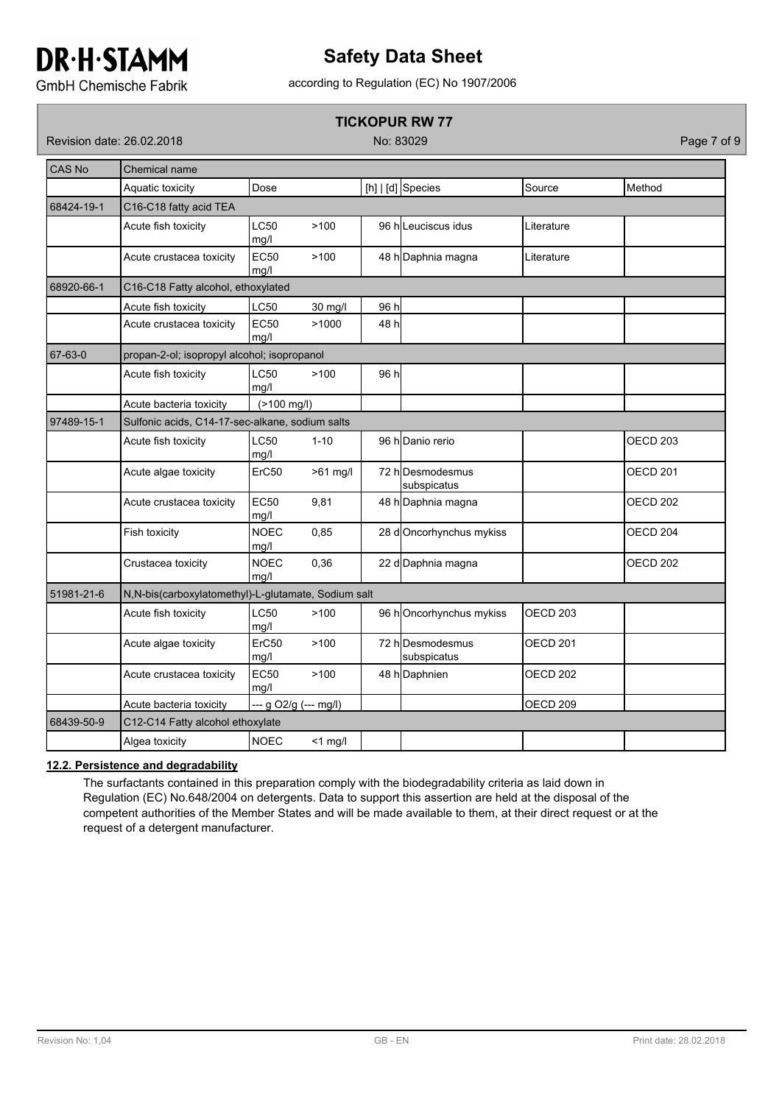# **Safety Data Sheet**

**GmbH Chemische Fabrik** 

# according to Regulation (EC) No 1907/2006

## **TICKOPUR RW 77**

Revision date: 26.02.2018 No: 83029 Page 7 of 9

| CAS No     | Chemical name                                       |                       |            |      |                                 |                     |                     |
|------------|-----------------------------------------------------|-----------------------|------------|------|---------------------------------|---------------------|---------------------|
|            | Aquatic toxicity                                    | Dose                  |            |      | [h] $ $ [d] Species             | Source              | Method              |
| 68424-19-1 | C16-C18 fatty acid TEA                              |                       |            |      |                                 |                     |                     |
|            | Acute fish toxicity                                 | <b>LC50</b><br>mg/l   | >100       |      | 96 hlLeuciscus idus             | Literature          |                     |
|            | Acute crustacea toxicity                            | <b>EC50</b><br>mg/l   | >100       |      | 48 h Daphnia magna              | Literature          |                     |
| 68920-66-1 | C16-C18 Fatty alcohol, ethoxylated                  |                       |            |      |                                 |                     |                     |
|            | Acute fish toxicity                                 | <b>LC50</b>           | 30 mg/l    | 96 h |                                 |                     |                     |
|            | Acute crustacea toxicity                            | <b>EC50</b><br>mg/l   | >1000      | 48 h |                                 |                     |                     |
| 67-63-0    | propan-2-ol; isopropyl alcohol; isopropanol         |                       |            |      |                                 |                     |                     |
|            | Acute fish toxicity                                 | <b>LC50</b><br>mg/l   | >100       | 96 h |                                 |                     |                     |
|            | Acute bacteria toxicity                             | (>100 mg/l)           |            |      |                                 |                     |                     |
| 97489-15-1 | Sulfonic acids, C14-17-sec-alkane, sodium salts     |                       |            |      |                                 |                     |                     |
|            | Acute fish toxicity                                 | LC50<br>mg/l          | $1 - 10$   |      | 96 h Danio rerio                |                     | OECD <sub>203</sub> |
|            | Acute algae toxicity                                | ErC50                 | $>61$ mg/l |      | 72 h Desmodesmus<br>subspicatus |                     | <b>OECD 201</b>     |
|            | Acute crustacea toxicity                            | <b>EC50</b><br>mg/l   | 9,81       |      | 48 h Daphnia magna              |                     | OECD <sub>202</sub> |
|            | Fish toxicity                                       | <b>NOEC</b><br>mg/l   | 0,85       |      | 28 dOncorhynchus mykiss         |                     | OECD <sub>204</sub> |
|            | Crustacea toxicity                                  | <b>NOEC</b><br>ma/l   | 0,36       |      | 22 d Daphnia magna              |                     | <b>OECD 202</b>     |
| 51981-21-6 | N,N-bis(carboxylatomethyl)-L-glutamate, Sodium salt |                       |            |      |                                 |                     |                     |
|            | Acute fish toxicity                                 | <b>LC50</b><br>mg/l   | >100       |      | 96 hOncorhynchus mykiss         | OECD <sub>203</sub> |                     |
|            | Acute algae toxicity                                | ErC50<br>mg/l         | >100       |      | 72 hDesmodesmus<br>subspicatus  | <b>OECD 201</b>     |                     |
|            | Acute crustacea toxicity                            | <b>EC50</b><br>mg/l   | >100       |      | 48 h Daphnien                   | OECD <sub>202</sub> |                     |
|            | Acute bacteria toxicity                             | --- g O2/g (--- mg/l) |            |      |                                 | OECD <sub>209</sub> |                     |
| 68439-50-9 | C12-C14 Fatty alcohol ethoxylate                    |                       |            |      |                                 |                     |                     |
|            | Algea toxicity                                      | <b>NOEC</b>           | $<$ 1 mg/l |      |                                 |                     |                     |

## **12.2. Persistence and degradability**

The surfactants contained in this preparation comply with the biodegradability criteria as laid down in Regulation (EC) No.648/2004 on detergents. Data to support this assertion are held at the disposal of the competent authorities of the Member States and will be made available to them, at their direct request or at the request of a detergent manufacturer.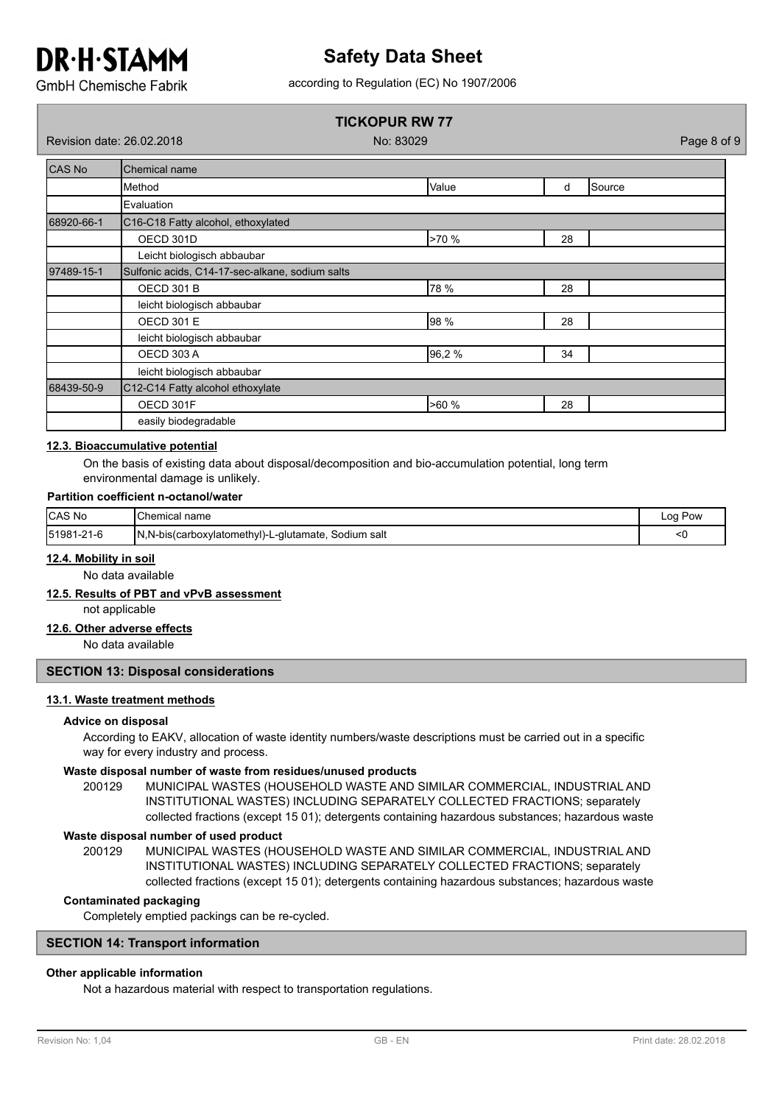# **Safety Data Sheet**

according to Regulation (EC) No 1907/2006

**GmbH Chemische Fabrik** 

## **TICKOPUR RW 77**

Revision date: 26.02.2018 No: 83029 Page 8 of 9

| CAS No     | Chemical name                                   |       |    |        |  |  |  |  |
|------------|-------------------------------------------------|-------|----|--------|--|--|--|--|
|            | Method                                          | Value | d  | Source |  |  |  |  |
|            | Evaluation                                      |       |    |        |  |  |  |  |
| 68920-66-1 | C16-C18 Fatty alcohol, ethoxylated              |       |    |        |  |  |  |  |
|            | OECD 301D                                       | >70 % | 28 |        |  |  |  |  |
|            | Leicht biologisch abbaubar                      |       |    |        |  |  |  |  |
| 97489-15-1 | Sulfonic acids, C14-17-sec-alkane, sodium salts |       |    |        |  |  |  |  |
|            | <b>OECD 301 B</b>                               | 78 %  | 28 |        |  |  |  |  |
|            | leicht biologisch abbaubar                      |       |    |        |  |  |  |  |
|            | <b>OECD 301 E</b>                               | 98 %  | 28 |        |  |  |  |  |
|            | leicht biologisch abbaubar                      |       |    |        |  |  |  |  |
|            | <b>OECD 303 A</b>                               | 96,2% | 34 |        |  |  |  |  |
|            | leicht biologisch abbaubar                      |       |    |        |  |  |  |  |
| 68439-50-9 | C12-C14 Fatty alcohol ethoxylate                |       |    |        |  |  |  |  |
|            | OECD 301F                                       | >60%  | 28 |        |  |  |  |  |
|            | easily biodegradable                            |       |    |        |  |  |  |  |

### **12.3. Bioaccumulative potential**

On the basis of existing data about disposal/decomposition and bio-accumulation potential, long term environmental damage is unlikely.

#### **Partition coefficient n-octanol/water**

| <b>CAS No</b> | <b>I</b> Chemical name                                 | Pow<br>Loq |
|---------------|--------------------------------------------------------|------------|
| 51981-21-6    | N,N-bis(carboxylatomethyl)-L-glutamate,<br>Sodium salt |            |

#### **12.4. Mobility in soil**

No data available

### **12.5. Results of PBT and vPvB assessment**

not applicable

#### **12.6. Other adverse effects**

No data available

#### **SECTION 13: Disposal considerations**

#### **13.1. Waste treatment methods**

#### **Advice on disposal**

According to EAKV, allocation of waste identity numbers/waste descriptions must be carried out in a specific way for every industry and process.

#### **Waste disposal number of waste from residues/unused products**

200129 MUNICIPAL WASTES (HOUSEHOLD WASTE AND SIMILAR COMMERCIAL, INDUSTRIAL AND INSTITUTIONAL WASTES) INCLUDING SEPARATELY COLLECTED FRACTIONS; separately collected fractions (except 15 01); detergents containing hazardous substances; hazardous waste

#### **Waste disposal number of used product**

MUNICIPAL WASTES (HOUSEHOLD WASTE AND SIMILAR COMMERCIAL, INDUSTRIAL AND INSTITUTIONAL WASTES) INCLUDING SEPARATELY COLLECTED FRACTIONS; separately collected fractions (except 15 01); detergents containing hazardous substances; hazardous waste 200129

#### **Contaminated packaging**

Completely emptied packings can be re-cycled.

#### **SECTION 14: Transport information**

### **Other applicable information**

Not a hazardous material with respect to transportation regulations.